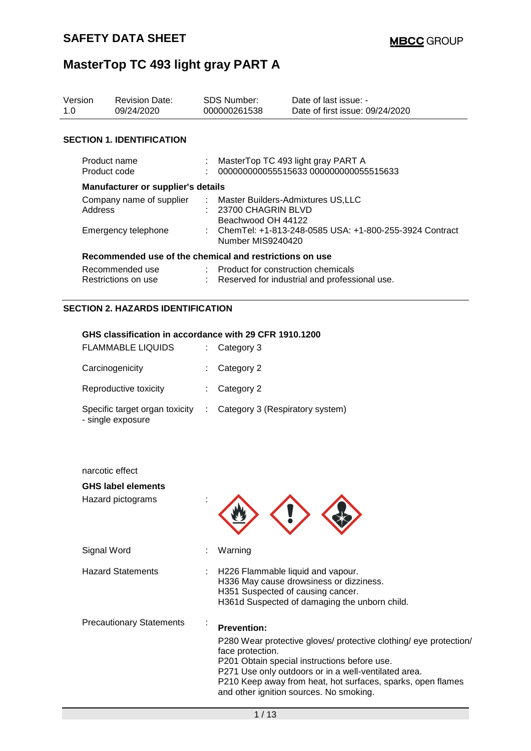| Version<br>1.0                      | <b>Revision Date:</b><br>09/24/2020                     | <b>SDS Number:</b><br>000000261538                                              | Date of last issue: -<br>Date of first issue: 09/24/2020                    |  |
|-------------------------------------|---------------------------------------------------------|---------------------------------------------------------------------------------|-----------------------------------------------------------------------------|--|
|                                     | <b>SECTION 1. IDENTIFICATION</b>                        |                                                                                 |                                                                             |  |
|                                     | Product name<br>Product code                            |                                                                                 | MasterTop TC 493 light gray PART A<br>000000000055515633 000000000055515633 |  |
|                                     | Manufacturer or supplier's details                      |                                                                                 |                                                                             |  |
| Company name of supplier<br>Address |                                                         | : Master Builders-Admixtures US,LLC<br>23700 CHAGRIN BLVD<br>Beachwood OH 44122 |                                                                             |  |
| Emergency telephone                 |                                                         | : ChemTel: +1-813-248-0585 USA: +1-800-255-3924 Contract<br>Number MIS9240420   |                                                                             |  |
|                                     | Recommended use of the chemical and restrictions on use |                                                                                 |                                                                             |  |
|                                     | Recommended use<br>Restrictions on use                  | Product for construction chemicals                                              | Reserved for industrial and professional use.                               |  |

## **SECTION 2. HAZARDS IDENTIFICATION**

### **GHS classification in accordance with 29 CFR 1910.1200**

| <b>FLAMMABLE LIQUIDS</b>                            | $\therefore$ Category 3           |
|-----------------------------------------------------|-----------------------------------|
| Carcinogenicity                                     | $\therefore$ Category 2           |
| Reproductive toxicity                               | $\therefore$ Category 2           |
| Specific target organ toxicity<br>- single exposure | : Category 3 (Respiratory system) |

| narcotic effect                 |                                                                                                                                                                                                                                                                                                                               |
|---------------------------------|-------------------------------------------------------------------------------------------------------------------------------------------------------------------------------------------------------------------------------------------------------------------------------------------------------------------------------|
| <b>GHS label elements</b>       |                                                                                                                                                                                                                                                                                                                               |
| Hazard pictograms               |                                                                                                                                                                                                                                                                                                                               |
| Signal Word                     | Warning                                                                                                                                                                                                                                                                                                                       |
| <b>Hazard Statements</b>        | H226 Flammable liquid and vapour.<br>H336 May cause drowsiness or dizziness.<br>H351 Suspected of causing cancer.<br>H361d Suspected of damaging the unborn child.                                                                                                                                                            |
| <b>Precautionary Statements</b> | <b>Prevention:</b><br>P280 Wear protective gloves/ protective clothing/ eye protection/<br>face protection.<br>P201 Obtain special instructions before use.<br>P271 Use only outdoors or in a well-ventilated area.<br>P210 Keep away from heat, hot surfaces, sparks, open flames<br>and other ignition sources. No smoking. |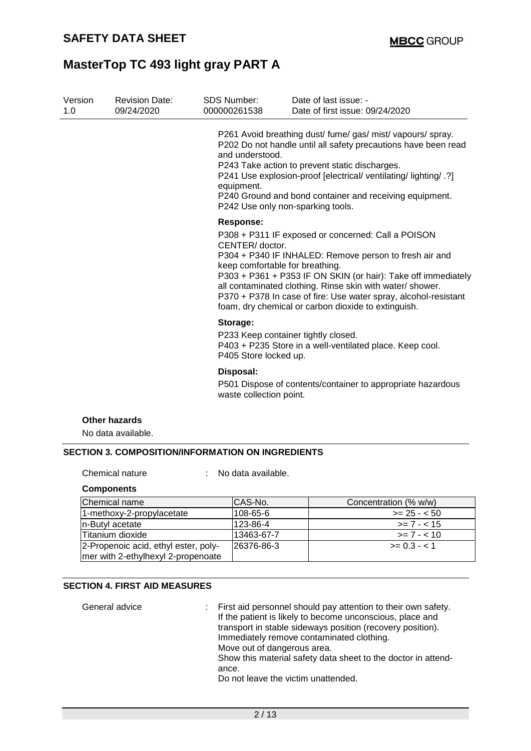| Version<br>1.0 | <b>Revision Date:</b><br>09/24/2020 | <b>SDS Number:</b><br>000000261538   | Date of last issue: -<br>Date of first issue: 09/24/2020                                                                                                                                                                                                                                                                                                                                                |
|----------------|-------------------------------------|--------------------------------------|---------------------------------------------------------------------------------------------------------------------------------------------------------------------------------------------------------------------------------------------------------------------------------------------------------------------------------------------------------------------------------------------------------|
|                |                                     | and understood.<br>equipment.        | P261 Avoid breathing dust/ fume/ gas/ mist/ vapours/ spray.<br>P202 Do not handle until all safety precautions have been read<br>P243 Take action to prevent static discharges.<br>P241 Use explosion-proof [electrical/ ventilating/ lighting/ .?]<br>P240 Ground and bond container and receiving equipment.<br>P242 Use only non-sparking tools.                                                     |
|                |                                     | <b>Response:</b>                     |                                                                                                                                                                                                                                                                                                                                                                                                         |
|                |                                     | CENTER/doctor.                       | P308 + P311 IF exposed or concerned: Call a POISON<br>P304 + P340 IF INHALED: Remove person to fresh air and<br>keep comfortable for breathing.<br>P303 + P361 + P353 IF ON SKIN (or hair): Take off immediately<br>all contaminated clothing. Rinse skin with water/ shower.<br>P370 + P378 In case of fire: Use water spray, alcohol-resistant<br>foam, dry chemical or carbon dioxide to extinguish. |
|                |                                     | Storage:<br>P405 Store locked up.    | P233 Keep container tightly closed.<br>P403 + P235 Store in a well-ventilated place. Keep cool.                                                                                                                                                                                                                                                                                                         |
|                |                                     | Disposal:<br>waste collection point. | P501 Dispose of contents/container to appropriate hazardous                                                                                                                                                                                                                                                                                                                                             |
|                | <b>Other hazards</b>                |                                      |                                                                                                                                                                                                                                                                                                                                                                                                         |
|                | No data available.                  |                                      |                                                                                                                                                                                                                                                                                                                                                                                                         |

Chemical nature : No data available.

| <b>Components</b> |
|-------------------|
|-------------------|

| Chemical name                                                              | ICAS-No.   | Concentration (% w/w) |
|----------------------------------------------------------------------------|------------|-----------------------|
| 1-methoxy-2-propylacetate                                                  | 108-65-6   | $>= 25 - 50$          |
| In-Butyl acetate                                                           | 123-86-4   | $>= 7 - < 15$         |
| Titanium dioxide                                                           | 13463-67-7 | $>= 7 - 10$           |
| 2-Propenoic acid, ethyl ester, poly-<br>mer with 2-ethylhexyl 2-propenoate | 26376-86-3 | $>= 0.3 - 1$          |

### **SECTION 4. FIRST AID MEASURES**

General advice : First aid personnel should pay attention to their own safety. If the patient is likely to become unconscious, place and transport in stable sideways position (recovery position). Immediately remove contaminated clothing. Move out of dangerous area. Show this material safety data sheet to the doctor in attendance. Do not leave the victim unattended.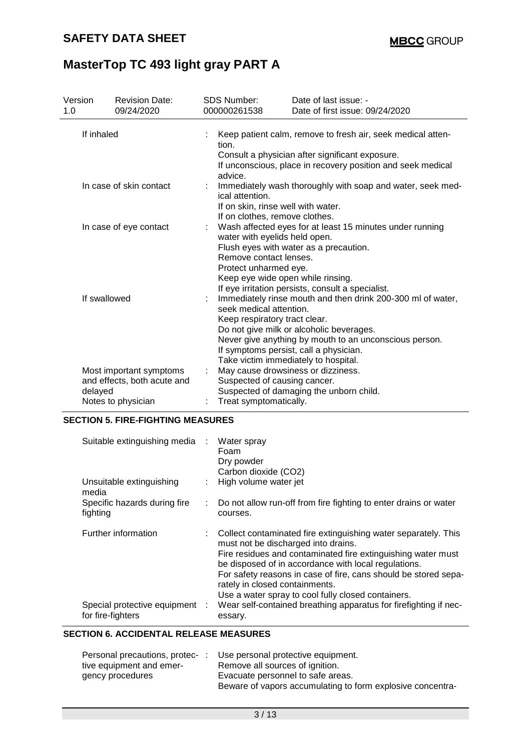| Version<br>1.0         |                         | <b>Revision Date:</b><br>09/24/2020                    |                                                                                                                                                                                                                                                                                                                 | <b>SDS Number:</b><br>000000261538                                                                                                                    | Date of last issue: -<br>Date of first issue: 09/24/2020                                                                                                                      |  |  |
|------------------------|-------------------------|--------------------------------------------------------|-----------------------------------------------------------------------------------------------------------------------------------------------------------------------------------------------------------------------------------------------------------------------------------------------------------------|-------------------------------------------------------------------------------------------------------------------------------------------------------|-------------------------------------------------------------------------------------------------------------------------------------------------------------------------------|--|--|
|                        | If inhaled              |                                                        |                                                                                                                                                                                                                                                                                                                 | tion.<br>advice.                                                                                                                                      | Keep patient calm, remove to fresh air, seek medical atten-<br>Consult a physician after significant exposure.<br>If unconscious, place in recovery position and seek medical |  |  |
|                        | In case of skin contact |                                                        |                                                                                                                                                                                                                                                                                                                 | Immediately wash thoroughly with soap and water, seek med-<br>ical attention.<br>If on skin, rinse well with water.<br>If on clothes, remove clothes. |                                                                                                                                                                               |  |  |
| In case of eye contact |                         |                                                        | Wash affected eyes for at least 15 minutes under running<br>water with eyelids held open.<br>Flush eyes with water as a precaution.<br>Remove contact lenses.<br>Protect unharmed eye.<br>Keep eye wide open while rinsing.<br>If eye irritation persists, consult a specialist.                                |                                                                                                                                                       |                                                                                                                                                                               |  |  |
| If swallowed           |                         |                                                        | Immediately rinse mouth and then drink 200-300 ml of water,<br>seek medical attention.<br>Keep respiratory tract clear.<br>Do not give milk or alcoholic beverages.<br>Never give anything by mouth to an unconscious person.<br>If symptoms persist, call a physician.<br>Take victim immediately to hospital. |                                                                                                                                                       |                                                                                                                                                                               |  |  |
|                        |                         | Most important symptoms<br>and effects, both acute and |                                                                                                                                                                                                                                                                                                                 | May cause drowsiness or dizziness.<br>Suspected of causing cancer.                                                                                    |                                                                                                                                                                               |  |  |
|                        | delayed                 |                                                        |                                                                                                                                                                                                                                                                                                                 |                                                                                                                                                       | Suspected of damaging the unborn child.                                                                                                                                       |  |  |
| Notes to physician     |                         |                                                        | Treat symptomatically.                                                                                                                                                                                                                                                                                          |                                                                                                                                                       |                                                                                                                                                                               |  |  |

# **SECTION 5. FIRE-FIGHTING MEASURES**

| Suitable extinguishing media : Water spray        |    | Foam<br>Dry powder<br>Carbon dioxide (CO2)                                                                                                                                                                                                                                                                                                                                                 |
|---------------------------------------------------|----|--------------------------------------------------------------------------------------------------------------------------------------------------------------------------------------------------------------------------------------------------------------------------------------------------------------------------------------------------------------------------------------------|
| Unsuitable extinguishing<br>media                 | ÷. | High volume water jet                                                                                                                                                                                                                                                                                                                                                                      |
| Specific hazards during fire<br>fighting          |    | Do not allow run-off from fire fighting to enter drains or water<br>courses.                                                                                                                                                                                                                                                                                                               |
| Further information                               |    | : Collect contaminated fire extinguishing water separately. This<br>must not be discharged into drains.<br>Fire residues and contaminated fire extinguishing water must<br>be disposed of in accordance with local regulations.<br>For safety reasons in case of fire, cans should be stored sepa-<br>rately in closed containments.<br>Use a water spray to cool fully closed containers. |
| Special protective equipment<br>for fire-fighters |    | Wear self-contained breathing apparatus for firefighting if nec-<br>essary.                                                                                                                                                                                                                                                                                                                |

## **SECTION 6. ACCIDENTAL RELEASE MEASURES**

| Personal precautions, protec- | Use personal protective equipment.                         |
|-------------------------------|------------------------------------------------------------|
| tive equipment and emer-      | Remove all sources of ignition.                            |
| gency procedures              | Evacuate personnel to safe areas.                          |
|                               | Beware of vapors accumulating to form explosive concentra- |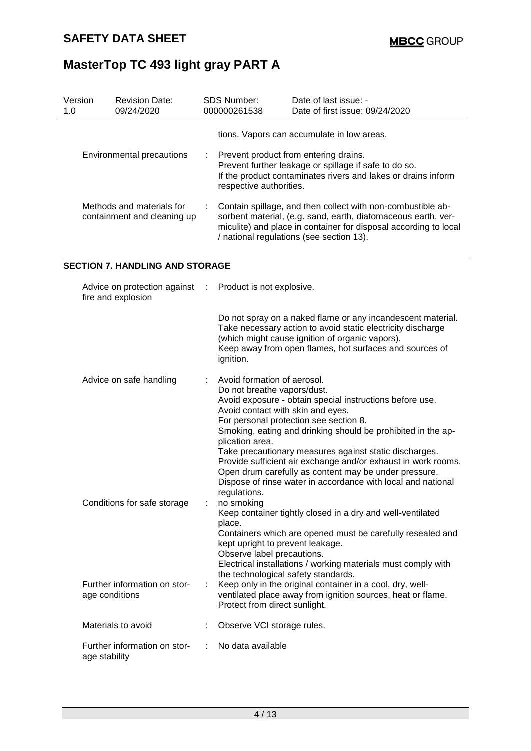| Version<br>1.0                                           | <b>Revision Date:</b><br>09/24/2020 | <b>SDS Number:</b><br>000000261538 |                                                                                                                                                                                                                                                | Date of last issue: -<br>Date of first issue: 09/24/2020 |  |
|----------------------------------------------------------|-------------------------------------|------------------------------------|------------------------------------------------------------------------------------------------------------------------------------------------------------------------------------------------------------------------------------------------|----------------------------------------------------------|--|
|                                                          |                                     |                                    |                                                                                                                                                                                                                                                | tions. Vapors can accumulate in low areas.               |  |
| Environmental precautions                                |                                     |                                    | : Prevent product from entering drains.<br>Prevent further leakage or spillage if safe to do so.<br>If the product contaminates rivers and lakes or drains inform<br>respective authorities.                                                   |                                                          |  |
| Methods and materials for<br>containment and cleaning up |                                     |                                    | : Contain spillage, and then collect with non-combustible ab-<br>sorbent material, (e.g. sand, earth, diatomaceous earth, ver-<br>miculite) and place in container for disposal according to local<br>/ national regulations (see section 13). |                                                          |  |

### **SECTION 7. HANDLING AND STORAGE**

| Advice on protection against<br>fire and explosion | ÷. | Product is not explosive.                                                                                                                                                                                                                                                                                                                                                                                                                                                                                                                                    |
|----------------------------------------------------|----|--------------------------------------------------------------------------------------------------------------------------------------------------------------------------------------------------------------------------------------------------------------------------------------------------------------------------------------------------------------------------------------------------------------------------------------------------------------------------------------------------------------------------------------------------------------|
|                                                    |    | Do not spray on a naked flame or any incandescent material.<br>Take necessary action to avoid static electricity discharge<br>(which might cause ignition of organic vapors).<br>Keep away from open flames, hot surfaces and sources of<br>ignition.                                                                                                                                                                                                                                                                                                        |
| Advice on safe handling                            |    | Avoid formation of aerosol.<br>Do not breathe vapors/dust.<br>Avoid exposure - obtain special instructions before use.<br>Avoid contact with skin and eyes.<br>For personal protection see section 8.<br>Smoking, eating and drinking should be prohibited in the ap-<br>plication area.<br>Take precautionary measures against static discharges.<br>Provide sufficient air exchange and/or exhaust in work rooms.<br>Open drum carefully as content may be under pressure.<br>Dispose of rinse water in accordance with local and national<br>regulations. |
| Conditions for safe storage                        | ÷  | no smoking<br>Keep container tightly closed in a dry and well-ventilated<br>place.<br>Containers which are opened must be carefully resealed and<br>kept upright to prevent leakage.<br>Observe label precautions.<br>Electrical installations / working materials must comply with                                                                                                                                                                                                                                                                          |
| Further information on stor-<br>age conditions     | ÷  | the technological safety standards.<br>Keep only in the original container in a cool, dry, well-<br>ventilated place away from ignition sources, heat or flame.<br>Protect from direct sunlight.                                                                                                                                                                                                                                                                                                                                                             |
| Materials to avoid                                 |    | Observe VCI storage rules.                                                                                                                                                                                                                                                                                                                                                                                                                                                                                                                                   |
| Further information on stor-<br>age stability      |    | No data available                                                                                                                                                                                                                                                                                                                                                                                                                                                                                                                                            |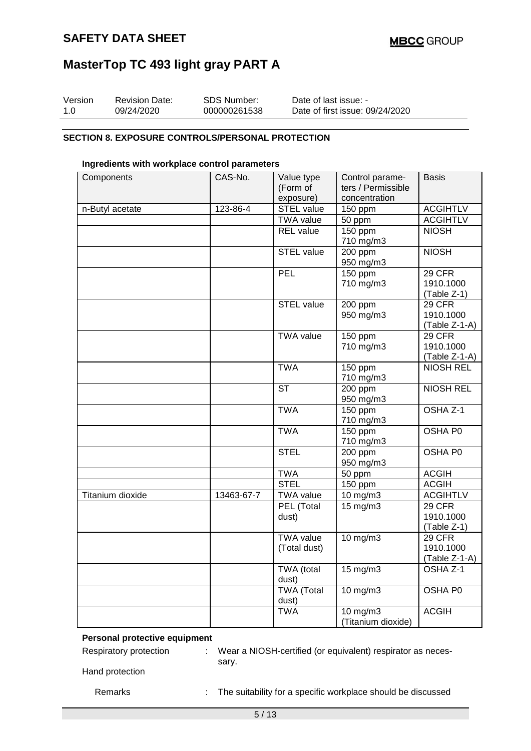| Version | <b>Revision Date:</b> | SDS Number:  | Date of last issue: -           |
|---------|-----------------------|--------------|---------------------------------|
| 1.0     | 09/24/2020            | 000000261538 | Date of first issue: 09/24/2020 |

#### **SECTION 8. EXPOSURE CONTROLS/PERSONAL PROTECTION**

### **Ingredients with workplace control parameters**

| Components       | CAS-No.    | Value type             | Control parame-    | <b>Basis</b>        |
|------------------|------------|------------------------|--------------------|---------------------|
|                  |            | (Form of               | ters / Permissible |                     |
|                  |            | exposure)              | concentration      |                     |
| n-Butyl acetate  | 123-86-4   | STEL value             | 150 ppm            | <b>ACGIHTLV</b>     |
|                  |            | <b>TWA value</b>       | 50 ppm             | <b>ACGIHTLV</b>     |
|                  |            | <b>REL</b> value       | 150 ppm            | <b>NIOSH</b>        |
|                  |            |                        | 710 mg/m3          |                     |
|                  |            | <b>STEL value</b>      | 200 ppm            | <b>NIOSH</b>        |
|                  |            |                        | 950 mg/m3          |                     |
|                  |            | PEL                    | 150 ppm            | 29 CFR              |
|                  |            |                        | 710 mg/m3          | 1910.1000           |
|                  |            |                        |                    | (Table Z-1)         |
|                  |            | <b>STEL value</b>      | 200 ppm            | 29 CFR              |
|                  |            |                        | 950 mg/m3          | 1910.1000           |
|                  |            |                        |                    | $(Table Z-1-A)$     |
|                  |            | <b>TWA value</b>       | 150 ppm            | 29 CFR              |
|                  |            |                        | 710 mg/m3          | 1910.1000           |
|                  |            |                        |                    | (Table Z-1-A)       |
|                  |            | <b>TWA</b>             | 150 ppm            | <b>NIOSH REL</b>    |
|                  |            |                        | 710 mg/m3          |                     |
|                  |            | $\overline{\text{ST}}$ | $200$ ppm          | <b>NIOSH REL</b>    |
|                  |            |                        | 950 mg/m3          |                     |
|                  |            | <b>TWA</b>             | 150 ppm            | OSHA Z-1            |
|                  |            |                        | 710 mg/m3          |                     |
|                  |            | <b>TWA</b>             | $150$ ppm          | OSHA P0             |
|                  |            |                        | 710 mg/m3          |                     |
|                  |            | <b>STEL</b>            | 200 ppm            | OSHA P0             |
|                  |            |                        | 950 mg/m3          |                     |
|                  |            | <b>TWA</b>             | 50 ppm             | <b>ACGIH</b>        |
|                  |            | <b>STEL</b>            | 150 ppm            | <b>ACGIH</b>        |
| Titanium dioxide | 13463-67-7 | <b>TWA value</b>       | 10 mg/m3           | <b>ACGIHTLV</b>     |
|                  |            | PEL (Total             | $15 \text{ mg/m}$  | 29 CFR              |
|                  |            | dust)                  |                    | 1910.1000           |
|                  |            |                        |                    | (Table Z-1)         |
|                  |            | <b>TWA value</b>       | 10 mg/m3           | 29 CFR              |
|                  |            | (Total dust)           |                    | 1910.1000           |
|                  |            |                        |                    | (Table Z-1-A)       |
|                  |            | TWA (total             | 15 mg/m3           | OSHA <sub>Z-1</sub> |
|                  |            | dust)                  |                    |                     |
|                  |            | <b>TWA</b> (Total      | 10 mg/m3           | OSHA P0             |
|                  |            | dust)                  |                    |                     |
|                  |            | <b>TWA</b>             | $10$ mg/m $3$      | <b>ACGIH</b>        |
|                  |            |                        | (Titanium dioxide) |                     |

## **Personal protective equipment**

Respiratory protection : Wear a NIOSH-certified (or equivalent) respirator as necessary.

Hand protection

Remarks : The suitability for a specific workplace should be discussed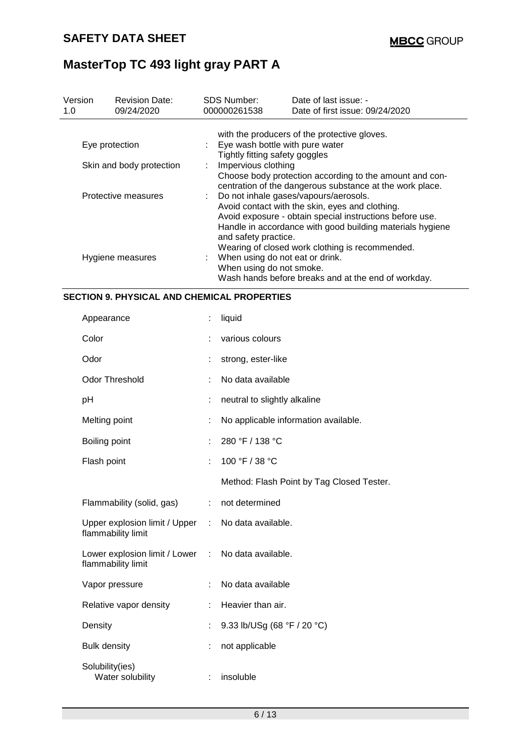| Version<br>1.0 | <b>Revision Date:</b><br>09/24/2020 | <b>SDS Number:</b><br>000000261538                                                                                                         | Date of last issue: -<br>Date of first issue: 09/24/2020                                                                                                                                                                                                             |  |  |  |
|----------------|-------------------------------------|--------------------------------------------------------------------------------------------------------------------------------------------|----------------------------------------------------------------------------------------------------------------------------------------------------------------------------------------------------------------------------------------------------------------------|--|--|--|
|                |                                     |                                                                                                                                            | with the producers of the protective gloves.                                                                                                                                                                                                                         |  |  |  |
|                | Eye protection                      | : Eye wash bottle with pure water<br>Tightly fitting safety goggles                                                                        |                                                                                                                                                                                                                                                                      |  |  |  |
|                | Skin and body protection            | Impervious clothing<br>Choose body protection according to the amount and con-<br>centration of the dangerous substance at the work place. |                                                                                                                                                                                                                                                                      |  |  |  |
|                | Protective measures                 | and safety practice.                                                                                                                       | Do not inhale gases/vapours/aerosols.<br>Avoid contact with the skin, eyes and clothing.<br>Avoid exposure - obtain special instructions before use.<br>Handle in accordance with good building materials hygiene<br>Wearing of closed work clothing is recommended. |  |  |  |
|                | Hygiene measures                    | When using do not smoke.                                                                                                                   | When using do not eat or drink.<br>Wash hands before breaks and at the end of workday.                                                                                                                                                                               |  |  |  |

## **SECTION 9. PHYSICAL AND CHEMICAL PROPERTIES**

| Appearance                                                               |    | liquid                                    |
|--------------------------------------------------------------------------|----|-------------------------------------------|
| Color                                                                    |    | various colours                           |
| Odor                                                                     |    | strong, ester-like                        |
| <b>Odor Threshold</b>                                                    |    | No data available                         |
| рH                                                                       | ÷  | neutral to slightly alkaline              |
| Melting point                                                            |    | No applicable information available.      |
| Boiling point                                                            |    | 280 °F / 138 °C                           |
| Flash point                                                              | ÷  | 100 °F / 38 °C                            |
|                                                                          |    | Method: Flash Point by Tag Closed Tester. |
| Flammability (solid, gas)                                                | ÷. | not determined                            |
| Upper explosion limit / Upper : No data available.<br>flammability limit |    |                                           |
| Lower explosion limit / Lower : No data available.<br>flammability limit |    |                                           |
| Vapor pressure                                                           |    | No data available                         |
| Relative vapor density                                                   |    | Heavier than air.                         |
| Density                                                                  |    | 9.33 lb/USg (68 °F / 20 °C)               |
| <b>Bulk density</b>                                                      | ÷  | not applicable                            |
| Solubility(ies)<br>Water solubility                                      |    | insoluble                                 |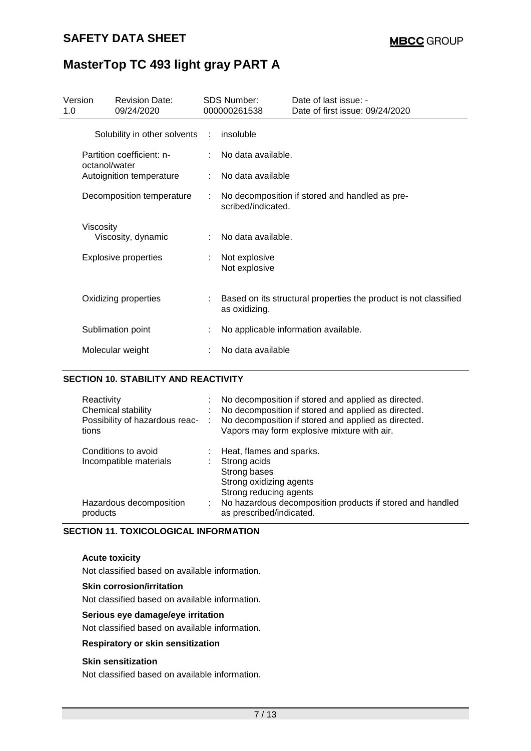| Version<br>1.0 | <b>Revision Date:</b><br>09/24/2020        |   | <b>SDS Number:</b><br>000000261538 | Date of last issue: -<br>Date of first issue: 09/24/2020         |
|----------------|--------------------------------------------|---|------------------------------------|------------------------------------------------------------------|
|                | Solubility in other solvents :             |   | insoluble                          |                                                                  |
|                | Partition coefficient: n-<br>octanol/water |   | No data available.                 |                                                                  |
|                | Autoignition temperature                   |   | No data available                  |                                                                  |
|                | Decomposition temperature                  |   | scribed/indicated.                 | No decomposition if stored and handled as pre-                   |
|                | Viscosity<br>Viscosity, dynamic            | ÷ | No data available.                 |                                                                  |
|                | <b>Explosive properties</b>                | ÷ | Not explosive<br>Not explosive     |                                                                  |
|                | Oxidizing properties                       |   | as oxidizing.                      | Based on its structural properties the product is not classified |
|                | Sublimation point                          |   |                                    | No applicable information available.                             |
|                | Molecular weight                           |   | No data available                  |                                                                  |

## **SECTION 10. STABILITY AND REACTIVITY**

| Reactivity<br>Chemical stability<br>Possibility of hazardous reac-<br>tions | $\sim$ | No decomposition if stored and applied as directed.<br>No decomposition if stored and applied as directed.<br>No decomposition if stored and applied as directed.<br>Vapors may form explosive mixture with air. |
|-----------------------------------------------------------------------------|--------|------------------------------------------------------------------------------------------------------------------------------------------------------------------------------------------------------------------|
| Conditions to avoid<br>Incompatible materials                               |        | Heat, flames and sparks.<br>Strong acids<br>Strong bases<br>Strong oxidizing agents<br>Strong reducing agents                                                                                                    |
| Hazardous decomposition<br>products                                         |        | No hazardous decomposition products if stored and handled<br>as prescribed/indicated.                                                                                                                            |

## **SECTION 11. TOXICOLOGICAL INFORMATION**

#### **Acute toxicity**

Not classified based on available information.

#### **Skin corrosion/irritation**

Not classified based on available information.

#### **Serious eye damage/eye irritation**

Not classified based on available information.

#### **Respiratory or skin sensitization**

#### **Skin sensitization**

Not classified based on available information.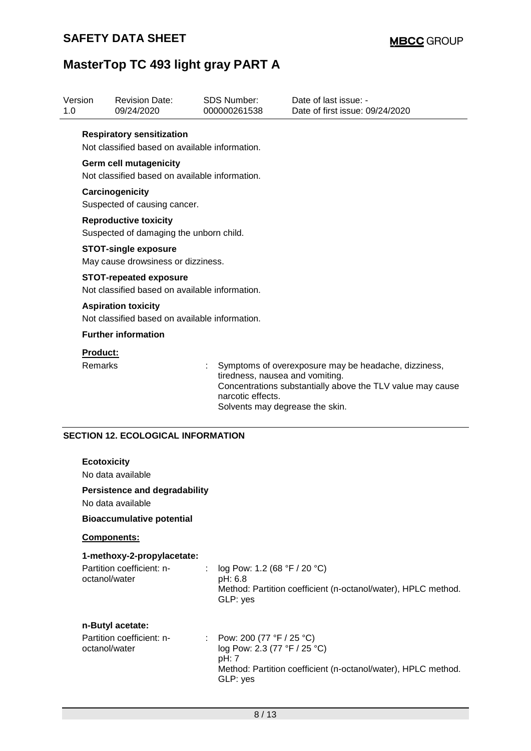| Version<br>1.0 |                    | <b>Revision Date:</b><br>09/24/2020                                                |   | <b>SDS Number:</b><br>000000261538                   | Date of last issue: -<br>Date of first issue: 09/24/2020                                                           |
|----------------|--------------------|------------------------------------------------------------------------------------|---|------------------------------------------------------|--------------------------------------------------------------------------------------------------------------------|
|                |                    | <b>Respiratory sensitization</b><br>Not classified based on available information. |   |                                                      |                                                                                                                    |
|                |                    | <b>Germ cell mutagenicity</b>                                                      |   |                                                      |                                                                                                                    |
|                |                    | Not classified based on available information.                                     |   |                                                      |                                                                                                                    |
|                |                    | Carcinogenicity<br>Suspected of causing cancer.                                    |   |                                                      |                                                                                                                    |
|                |                    | <b>Reproductive toxicity</b>                                                       |   |                                                      |                                                                                                                    |
|                |                    | Suspected of damaging the unborn child.                                            |   |                                                      |                                                                                                                    |
|                |                    | <b>STOT-single exposure</b>                                                        |   |                                                      |                                                                                                                    |
|                |                    | May cause drowsiness or dizziness.                                                 |   |                                                      |                                                                                                                    |
|                |                    | <b>STOT-repeated exposure</b>                                                      |   |                                                      |                                                                                                                    |
|                |                    | Not classified based on available information.                                     |   |                                                      |                                                                                                                    |
|                |                    | <b>Aspiration toxicity</b>                                                         |   |                                                      |                                                                                                                    |
|                |                    | Not classified based on available information.                                     |   |                                                      |                                                                                                                    |
|                |                    | <b>Further information</b>                                                         |   |                                                      |                                                                                                                    |
|                | <b>Product:</b>    |                                                                                    |   |                                                      |                                                                                                                    |
|                | Remarks            |                                                                                    |   | tiredness, nausea and vomiting.                      | Symptoms of overexposure may be headache, dizziness,<br>Concentrations substantially above the TLV value may cause |
|                |                    |                                                                                    |   | narcotic effects.<br>Solvents may degrease the skin. |                                                                                                                    |
|                |                    |                                                                                    |   |                                                      |                                                                                                                    |
|                |                    | <b>SECTION 12. ECOLOGICAL INFORMATION</b>                                          |   |                                                      |                                                                                                                    |
|                |                    |                                                                                    |   |                                                      |                                                                                                                    |
|                | <b>Ecotoxicity</b> |                                                                                    |   |                                                      |                                                                                                                    |
|                |                    | No data available                                                                  |   |                                                      |                                                                                                                    |
|                |                    | <b>Persistence and degradability</b><br>No data available                          |   |                                                      |                                                                                                                    |
|                |                    | <b>Bioaccumulative potential</b>                                                   |   |                                                      |                                                                                                                    |
|                |                    | Components:                                                                        |   |                                                      |                                                                                                                    |
|                |                    | 1-methoxy-2-propylacetate:                                                         |   |                                                      |                                                                                                                    |
|                |                    | Partition coefficient: n-<br>octanol/water                                         | ÷ | log Pow: 1.2 (68 °F / 20 °C)                         |                                                                                                                    |
|                |                    |                                                                                    |   | pH: 6.8<br>GLP: yes                                  | Method: Partition coefficient (n-octanol/water), HPLC method.                                                      |
|                |                    | n-Butyl acetate:                                                                   |   |                                                      |                                                                                                                    |
|                |                    | Partition coefficient: n-                                                          | ÷ | Pow: 200 (77 °F / 25 °C)                             |                                                                                                                    |
|                | octanol/water      |                                                                                    |   | log Pow: 2.3 (77 °F / 25 °C)                         |                                                                                                                    |
|                |                    |                                                                                    |   | pH: 7                                                |                                                                                                                    |
|                |                    |                                                                                    |   | GLP: yes                                             | Method: Partition coefficient (n-octanol/water), HPLC method.                                                      |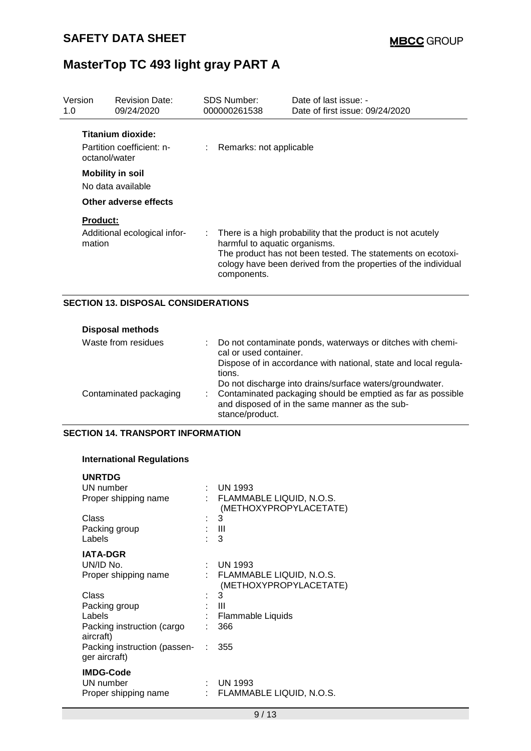| Version<br>1.0 | <b>Revision Date:</b><br>09/24/2020                             | <b>SDS Number:</b><br>000000261538                                        | Date of last issue: -<br>Date of first issue: 09/24/2020                                                                                                                                     |
|----------------|-----------------------------------------------------------------|---------------------------------------------------------------------------|----------------------------------------------------------------------------------------------------------------------------------------------------------------------------------------------|
|                | Titanium dioxide:<br>Partition coefficient: n-<br>octanol/water | Remarks: not applicable                                                   |                                                                                                                                                                                              |
|                | <b>Mobility in soil</b><br>No data available                    |                                                                           |                                                                                                                                                                                              |
|                | Other adverse effects                                           |                                                                           |                                                                                                                                                                                              |
|                | <b>Product:</b>                                                 |                                                                           |                                                                                                                                                                                              |
| mation         | Additional ecological infor-                                    | $\mathbb{Z}^{\mathbb{Z}}$<br>harmful to aquatic organisms.<br>components. | There is a high probability that the product is not acutely<br>The product has not been tested. The statements on ecotoxi-<br>cology have been derived from the properties of the individual |

### **SECTION 13. DISPOSAL CONSIDERATIONS**

| <b>Disposal methods</b> |                                                                                                                                       |
|-------------------------|---------------------------------------------------------------------------------------------------------------------------------------|
| Waste from residues     | : Do not contaminate ponds, waterways or ditches with chemi-<br>cal or used container.                                                |
|                         | Dispose of in accordance with national, state and local regula-<br>tions.<br>Do not discharge into drains/surface waters/groundwater. |
| Contaminated packaging  | : Contaminated packaging should be emptied as far as possible<br>and disposed of in the same manner as the sub-<br>stance/product.    |

## **SECTION 14. TRANSPORT INFORMATION**

### **International Regulations**

| <b>UNRTDG</b>                                 |                                                    |
|-----------------------------------------------|----------------------------------------------------|
| UN number                                     | UN 1993                                            |
| Proper shipping name                          | FLAMMABLE LIQUID, N.O.S.<br>(METHOXYPROPYLACETATE) |
| Class                                         | 3                                                  |
| Packing group                                 | Ш                                                  |
| Labels                                        | 3                                                  |
| <b>IATA-DGR</b>                               |                                                    |
| UN/ID No.                                     | UN 1993                                            |
| Proper shipping name                          | FLAMMABLE LIQUID, N.O.S.<br>(METHOXYPROPYLACETATE) |
| Class                                         | 3                                                  |
| Packing group                                 | Ш                                                  |
| Labels                                        | Flammable Liquids                                  |
| Packing instruction (cargo<br>aircraft)       | 366                                                |
| Packing instruction (passen-<br>ger aircraft) | 355                                                |
| <b>IMDG-Code</b>                              |                                                    |
| UN number                                     | <b>UN 1993</b>                                     |
| Proper shipping name                          | FLAMMABLE LIQUID, N.O.S.                           |
|                                               |                                                    |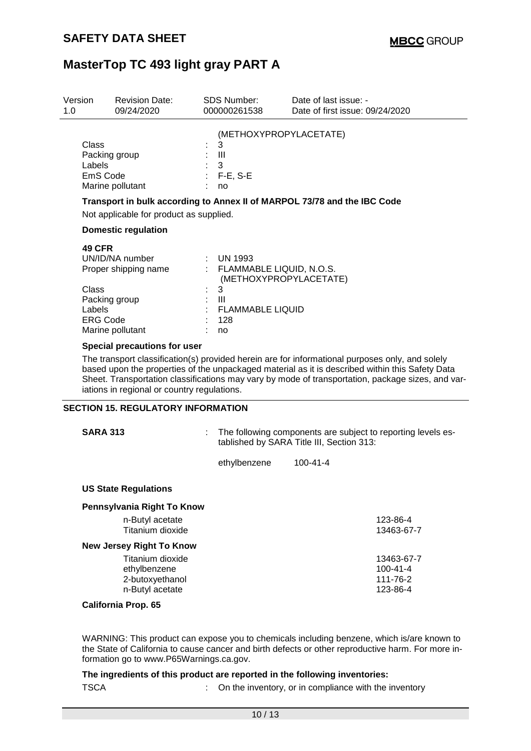| Version<br>1.0                                             | <b>Revision Date:</b><br>09/24/2020                                          |                | <b>SDS Number:</b><br>000000261538                                                                                                 | Date of last issue: -<br>Date of first issue: 09/24/2020                                                                                                                                                                                                                                                |
|------------------------------------------------------------|------------------------------------------------------------------------------|----------------|------------------------------------------------------------------------------------------------------------------------------------|---------------------------------------------------------------------------------------------------------------------------------------------------------------------------------------------------------------------------------------------------------------------------------------------------------|
| Class<br>Labels<br>EmS Code                                | Packing group<br>Marine pollutant                                            | $\mathbb{R}^3$ | (METHOXYPROPYLACETATE)<br>3<br>Ш<br>3<br>$F-E$ , S-E<br>no                                                                         |                                                                                                                                                                                                                                                                                                         |
|                                                            |                                                                              |                |                                                                                                                                    | Transport in bulk according to Annex II of MARPOL 73/78 and the IBC Code                                                                                                                                                                                                                                |
|                                                            | Not applicable for product as supplied.                                      |                |                                                                                                                                    |                                                                                                                                                                                                                                                                                                         |
|                                                            | <b>Domestic regulation</b>                                                   |                |                                                                                                                                    |                                                                                                                                                                                                                                                                                                         |
| <b>49 CFR</b><br><b>Class</b><br>Labels<br><b>ERG Code</b> | UN/ID/NA number<br>Proper shipping name<br>Packing group<br>Marine pollutant |                | $:$ UN 1993<br>: FLAMMABLE LIQUID, N.O.S.<br>(METHOXYPROPYLACETATE)<br>3<br>$\mathbf{III}$<br><b>FLAMMABLE LIQUID</b><br>128<br>no |                                                                                                                                                                                                                                                                                                         |
|                                                            | Special precautions for user                                                 |                |                                                                                                                                    |                                                                                                                                                                                                                                                                                                         |
|                                                            | iations in regional or country regulations.                                  |                |                                                                                                                                    | The transport classification(s) provided herein are for informational purposes only, and solely<br>based upon the properties of the unpackaged material as it is described within this Safety Data<br>Sheet. Transportation classifications may vary by mode of transportation, package sizes, and var- |
|                                                            | <b>SECTION 15. REGULATORY INFORMATION</b>                                    |                |                                                                                                                                    |                                                                                                                                                                                                                                                                                                         |
| <b>SARA 313</b>                                            |                                                                              |                |                                                                                                                                    | The following components are subject to reporting levels es-<br>tablished by SARA Title III, Section 313:                                                                                                                                                                                               |

ethylbenzene 100-41-4

#### **US State Regulations**

| Pennsylvania Right To Know      |                |
|---------------------------------|----------------|
| n-Butyl acetate                 | 123-86-4       |
| Titanium dioxide                | 13463-67-7     |
| <b>New Jersey Right To Know</b> |                |
| Titanium dioxide                | 13463-67-7     |
| ethylbenzene                    | $100 - 41 - 4$ |
| 2-butoxyethanol                 | 111-76-2       |
| n-Butyl acetate                 | 123-86-4       |
| <b>California Prop. 65</b>      |                |

WARNING: This product can expose you to chemicals including benzene, which is/are known to the State of California to cause cancer and birth defects or other reproductive harm. For more information go to www.P65Warnings.ca.gov.

**The ingredients of this product are reported in the following inventories:** TSCA : On the inventory, or in compliance with the inventory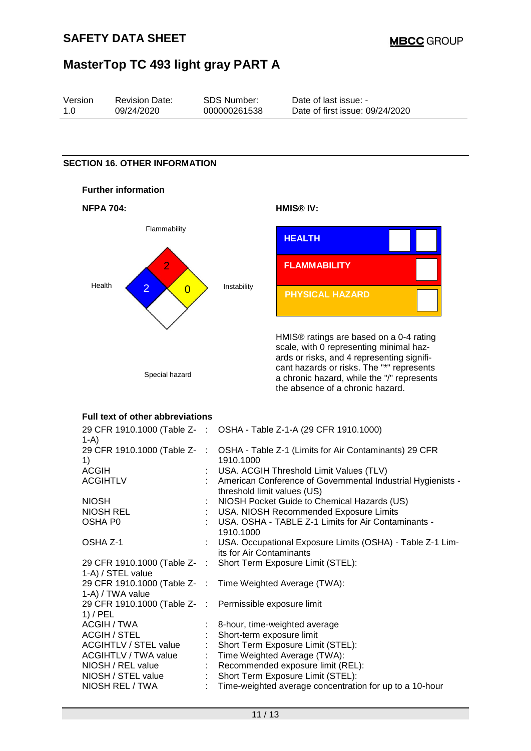|                    | MasterTop TC 493 light gray PART A              |                                       |                                                                                                                                                                                                                                                                 |
|--------------------|-------------------------------------------------|---------------------------------------|-----------------------------------------------------------------------------------------------------------------------------------------------------------------------------------------------------------------------------------------------------------------|
| Version<br>1.0     | <b>Revision Date:</b><br>09/24/2020             | <b>SDS Number:</b><br>000000261538    | Date of last issue: -<br>Date of first issue: 09/24/2020                                                                                                                                                                                                        |
|                    |                                                 |                                       |                                                                                                                                                                                                                                                                 |
|                    | <b>SECTION 16. OTHER INFORMATION</b>            |                                       |                                                                                                                                                                                                                                                                 |
|                    | <b>Further information</b>                      |                                       |                                                                                                                                                                                                                                                                 |
| <b>NFPA 704:</b>   |                                                 |                                       | HMIS <sup>®</sup> IV:                                                                                                                                                                                                                                           |
|                    | Flammability                                    |                                       | <b>HEALTH</b>                                                                                                                                                                                                                                                   |
|                    | $\overline{2}$                                  |                                       | <b>FLAMMABILITY</b>                                                                                                                                                                                                                                             |
| Health             | $\overline{2}$<br>$\overline{0}$                | Instability                           | <b>PHYSICAL HAZARD</b>                                                                                                                                                                                                                                          |
|                    | Special hazard                                  |                                       | HMIS® ratings are based on a 0-4 rating<br>scale, with 0 representing minimal haz-<br>ards or risks, and 4 representing signifi-<br>cant hazards or risks. The "*" represents<br>a chronic hazard, while the "/" represents<br>the absence of a chronic hazard. |
|                    | Full text of other abbreviations                |                                       |                                                                                                                                                                                                                                                                 |
|                    |                                                 |                                       | 29 CFR 1910.1000 (Table Z- : OSHA - Table Z-1-A (29 CFR 1910.1000)                                                                                                                                                                                              |
| $1-A$              | 29 CFR 1910.1000 (Table Z-                      |                                       | OSHA - Table Z-1 (Limits for Air Contaminants) 29 CFR                                                                                                                                                                                                           |
| 1)<br><b>ACGIH</b> |                                                 | 1910.1000                             | USA. ACGIH Threshold Limit Values (TLV)                                                                                                                                                                                                                         |
|                    | <b>ACGIHTLV</b>                                 |                                       | American Conference of Governmental Industrial Hygienists -<br>threshold limit values (US)                                                                                                                                                                      |
| <b>NIOSH</b>       |                                                 |                                       | NIOSH Pocket Guide to Chemical Hazards (US)                                                                                                                                                                                                                     |
| OSHA P0            | <b>NIOSH REL</b>                                |                                       | USA. NIOSH Recommended Exposure Limits<br>USA. OSHA - TABLE Z-1 Limits for Air Contaminants -                                                                                                                                                                   |
| OSHA Z-1           |                                                 | 1910.1000<br>its for Air Contaminants | USA. Occupational Exposure Limits (OSHA) - Table Z-1 Lim-                                                                                                                                                                                                       |
|                    | 29 CFR 1910.1000 (Table Z-<br>1-A) / STEL value |                                       | Short Term Exposure Limit (STEL):                                                                                                                                                                                                                               |
|                    | 29 CFR 1910.1000 (Table Z-<br>1-A) / TWA value  |                                       | Time Weighted Average (TWA):                                                                                                                                                                                                                                    |
| $1)$ / PEL         | 29 CFR 1910.1000 (Table Z-                      |                                       | Permissible exposure limit                                                                                                                                                                                                                                      |
|                    | ACGIH / TWA<br>ACGIH / STEL                     |                                       | 8-hour, time-weighted average<br>Short-term exposure limit                                                                                                                                                                                                      |

NIOSH REL / TWA : Time-weighted average concentration for up to a 10-hour

: Time Weighted Average (TWA):

ACGIH / STEL : Short-term exposure limit<br>ACGIHTLV / STEL value : Short Term Exposure Limi

ACGIHTLV / STEL value : Short Term Exposure Limit (STEL):<br>ACGIHTLV / TWA value : Time Weighted Average (TWA):

NIOSH / REL value : Recommended exposure limit (REL): NIOSH / STEL value : Short Term Exposure Limit (STEL):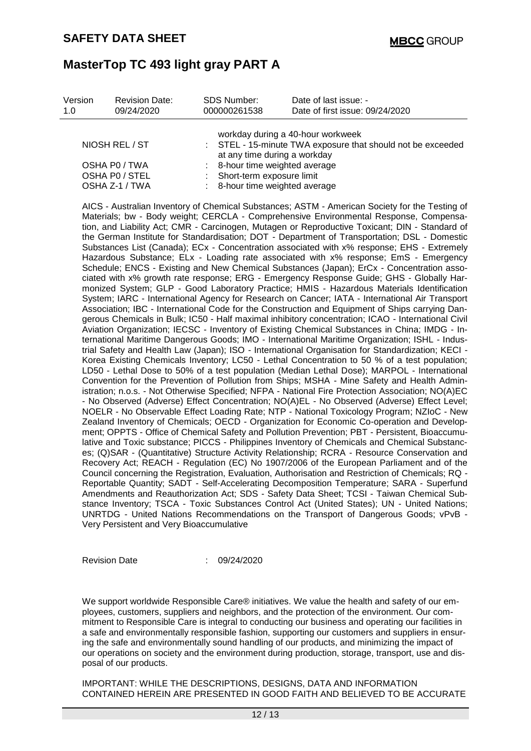| Version<br>1.0 | <b>Revision Date:</b><br>09/24/2020 | <b>SDS Number:</b><br>000000261538                                                                                               | Date of last issue: -<br>Date of first issue: 09/24/2020 |  |
|----------------|-------------------------------------|----------------------------------------------------------------------------------------------------------------------------------|----------------------------------------------------------|--|
|                |                                     |                                                                                                                                  |                                                          |  |
| NIOSH REL / ST |                                     | workday during a 40-hour workweek<br>: STEL - 15-minute TWA exposure that should not be exceeded<br>at any time during a workday |                                                          |  |
| OSHA P0 / TWA  |                                     | 8-hour time weighted average                                                                                                     |                                                          |  |
| OSHA PO / STEL |                                     | : Short-term exposure limit                                                                                                      |                                                          |  |
| OSHA Z-1 / TWA |                                     |                                                                                                                                  | 8-hour time weighted average                             |  |

AICS - Australian Inventory of Chemical Substances; ASTM - American Society for the Testing of Materials; bw - Body weight; CERCLA - Comprehensive Environmental Response, Compensation, and Liability Act; CMR - Carcinogen, Mutagen or Reproductive Toxicant; DIN - Standard of the German Institute for Standardisation; DOT - Department of Transportation; DSL - Domestic Substances List (Canada); ECx - Concentration associated with x% response; EHS - Extremely Hazardous Substance; ELx - Loading rate associated with x% response; EmS - Emergency Schedule; ENCS - Existing and New Chemical Substances (Japan); ErCx - Concentration associated with x% growth rate response; ERG - Emergency Response Guide; GHS - Globally Harmonized System; GLP - Good Laboratory Practice; HMIS - Hazardous Materials Identification System; IARC - International Agency for Research on Cancer; IATA - International Air Transport Association; IBC - International Code for the Construction and Equipment of Ships carrying Dangerous Chemicals in Bulk; IC50 - Half maximal inhibitory concentration; ICAO - International Civil Aviation Organization; IECSC - Inventory of Existing Chemical Substances in China; IMDG - International Maritime Dangerous Goods; IMO - International Maritime Organization; ISHL - Industrial Safety and Health Law (Japan); ISO - International Organisation for Standardization; KECI - Korea Existing Chemicals Inventory; LC50 - Lethal Concentration to 50 % of a test population; LD50 - Lethal Dose to 50% of a test population (Median Lethal Dose); MARPOL - International Convention for the Prevention of Pollution from Ships; MSHA - Mine Safety and Health Administration; n.o.s. - Not Otherwise Specified; NFPA - National Fire Protection Association; NO(A)EC - No Observed (Adverse) Effect Concentration; NO(A)EL - No Observed (Adverse) Effect Level; NOELR - No Observable Effect Loading Rate; NTP - National Toxicology Program; NZIoC - New Zealand Inventory of Chemicals; OECD - Organization for Economic Co-operation and Development; OPPTS - Office of Chemical Safety and Pollution Prevention; PBT - Persistent, Bioaccumulative and Toxic substance; PICCS - Philippines Inventory of Chemicals and Chemical Substances; (Q)SAR - (Quantitative) Structure Activity Relationship; RCRA - Resource Conservation and Recovery Act; REACH - Regulation (EC) No 1907/2006 of the European Parliament and of the Council concerning the Registration, Evaluation, Authorisation and Restriction of Chemicals; RQ - Reportable Quantity; SADT - Self-Accelerating Decomposition Temperature; SARA - Superfund Amendments and Reauthorization Act; SDS - Safety Data Sheet; TCSI - Taiwan Chemical Substance Inventory; TSCA - Toxic Substances Control Act (United States); UN - United Nations; UNRTDG - United Nations Recommendations on the Transport of Dangerous Goods; vPvB - Very Persistent and Very Bioaccumulative

Revision Date : 09/24/2020

We support worldwide Responsible Care® initiatives. We value the health and safety of our employees, customers, suppliers and neighbors, and the protection of the environment. Our commitment to Responsible Care is integral to conducting our business and operating our facilities in a safe and environmentally responsible fashion, supporting our customers and suppliers in ensuring the safe and environmentally sound handling of our products, and minimizing the impact of our operations on society and the environment during production, storage, transport, use and disposal of our products.

IMPORTANT: WHILE THE DESCRIPTIONS, DESIGNS, DATA AND INFORMATION CONTAINED HEREIN ARE PRESENTED IN GOOD FAITH AND BELIEVED TO BE ACCURATE